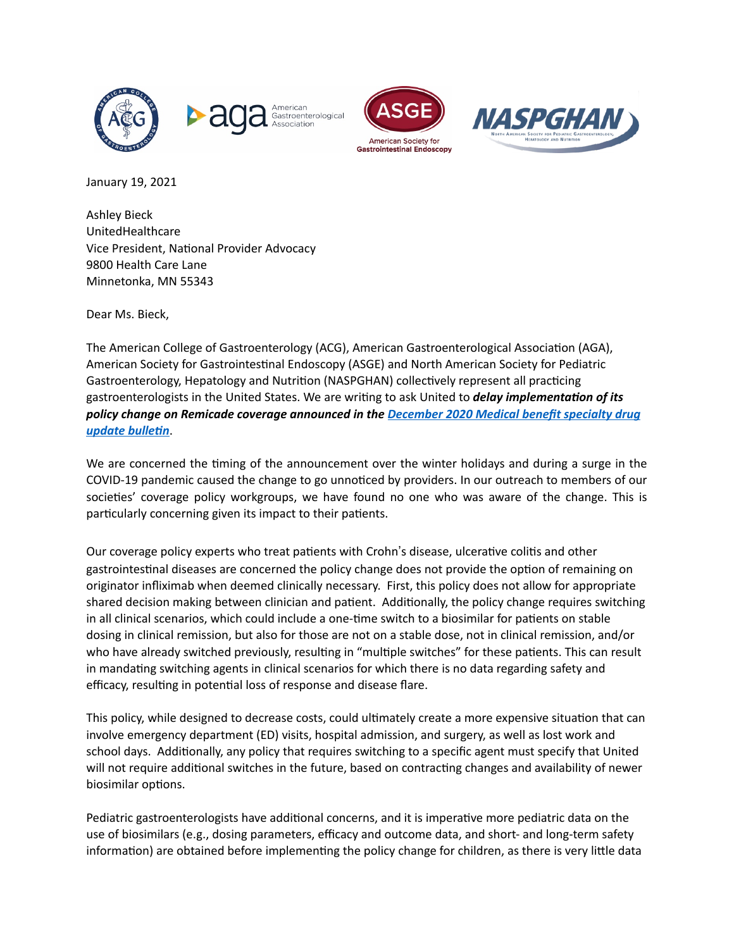







January 19, 2021

Ashley Bieck UnitedHealthcare Vice President, National Provider Advocacy 9800 Health Care Lane Minnetonka, MN 55343

Dear Ms. Bieck,

The American College of Gastroenterology (ACG), American Gastroenterological Association (AGA), American Society for Gastrointestinal Endoscopy (ASGE) and North American Society for Pediatric Gastroenterology, Hepatology and Nutrition (NASPGHAN) collectively represent all practicing gastroenterologists in the United States. We are writing to ask United to *delay implementation of its policy change on Remicade coverage announced in the [December 2020 Medical benefit specialty drug](https://www.uhcprovider.com/content/dam/provider/docs/public/resources/news/2020/sdub/med-benefit-specialty-drug-update-bulletin-December-2020.pdf)*  **update bulletin**.

We are concerned the timing of the announcement over the winter holidays and during a surge in the COVID-19 pandemic caused the change to go unnoticed by providers. In our outreach to members of our societies' coverage policy workgroups, we have found no one who was aware of the change. This is particularly concerning given its impact to their patients.

Our coverage policy experts who treat patients with Crohn's disease, ulcerative colitis and other gastrointestinal diseases are concerned the policy change does not provide the option of remaining on originator infliximab when deemed clinically necessary. First, this policy does not allow for appropriate shared decision making between clinician and patient. Additionally, the policy change requires switching in all clinical scenarios, which could include a one-time switch to a biosimilar for patients on stable dosing in clinical remission, but also for those are not on a stable dose, not in clinical remission, and/or who have already switched previously, resulting in "multiple switches" for these patients. This can result in mandating switching agents in clinical scenarios for which there is no data regarding safety and efficacy, resulting in potential loss of response and disease flare.

This policy, while designed to decrease costs, could ultimately create a more expensive situation that can involve emergency department (ED) visits, hospital admission, and surgery, as well as lost work and school days. Additionally, any policy that requires switching to a specific agent must specify that United will not require additional switches in the future, based on contracting changes and availability of newer biosimilar options.

Pediatric gastroenterologists have additional concerns, and it is imperative more pediatric data on the use of biosimilars (e.g., dosing parameters, efficacy and outcome data, and short- and long-term safety information) are obtained before implementing the policy change for children, as there is very little data